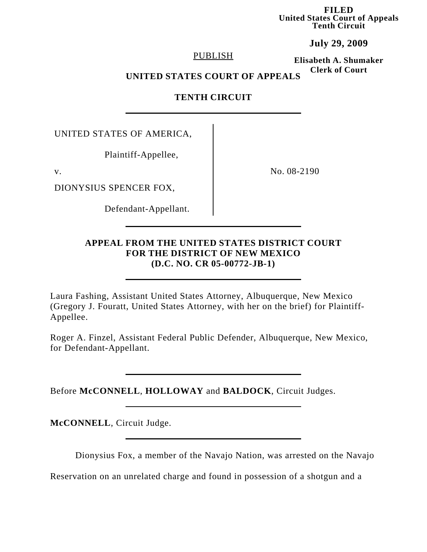**FILED United States Court of Appeals Tenth Circuit**

**July 29, 2009**

### PUBLISH

**Elisabeth A. Shumaker Clerk of Court**

### **UNITED STATES COURT OF APPEALS**

# **TENTH CIRCUIT**

UNITED STATES OF AMERICA,

Plaintiff-Appellee,

DIONYSIUS SPENCER FOX,

Defendant-Appellant.

v. No. 08-2190

## **APPEAL FROM THE UNITED STATES DISTRICT COURT FOR THE DISTRICT OF NEW MEXICO (D.C. NO. CR 05-00772-JB-1)**

Laura Fashing, Assistant United States Attorney, Albuquerque, New Mexico (Gregory J. Fouratt, United States Attorney, with her on the brief) for Plaintiff-Appellee.

Roger A. Finzel, Assistant Federal Public Defender, Albuquerque, New Mexico, for Defendant-Appellant.

Before **McCONNELL**, **HOLLOWAY** and **BALDOCK**, Circuit Judges.

**McCONNELL**, Circuit Judge.

Dionysius Fox, a member of the Navajo Nation, was arrested on the Navajo

Reservation on an unrelated charge and found in possession of a shotgun and a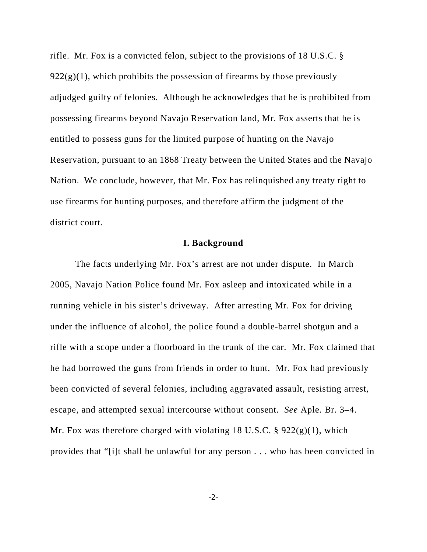rifle. Mr. Fox is a convicted felon, subject to the provisions of 18 U.S.C. §  $922(g)(1)$ , which prohibits the possession of firearms by those previously adjudged guilty of felonies. Although he acknowledges that he is prohibited from possessing firearms beyond Navajo Reservation land, Mr. Fox asserts that he is entitled to possess guns for the limited purpose of hunting on the Navajo Reservation, pursuant to an 1868 Treaty between the United States and the Navajo Nation. We conclude, however, that Mr. Fox has relinquished any treaty right to use firearms for hunting purposes, and therefore affirm the judgment of the district court.

#### **I. Background**

The facts underlying Mr. Fox's arrest are not under dispute. In March 2005, Navajo Nation Police found Mr. Fox asleep and intoxicated while in a running vehicle in his sister's driveway. After arresting Mr. Fox for driving under the influence of alcohol, the police found a double-barrel shotgun and a rifle with a scope under a floorboard in the trunk of the car. Mr. Fox claimed that he had borrowed the guns from friends in order to hunt. Mr. Fox had previously been convicted of several felonies, including aggravated assault, resisting arrest, escape, and attempted sexual intercourse without consent. *See* Aple. Br. 3–4. Mr. Fox was therefore charged with violating 18 U.S.C.  $\S$  922(g)(1), which provides that "[i]t shall be unlawful for any person . . . who has been convicted in

-2-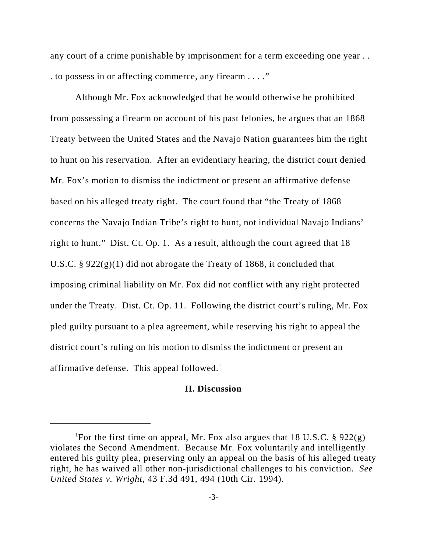any court of a crime punishable by imprisonment for a term exceeding one year . . . to possess in or affecting commerce, any firearm . . . ."

Although Mr. Fox acknowledged that he would otherwise be prohibited from possessing a firearm on account of his past felonies, he argues that an 1868 Treaty between the United States and the Navajo Nation guarantees him the right to hunt on his reservation. After an evidentiary hearing, the district court denied Mr. Fox's motion to dismiss the indictment or present an affirmative defense based on his alleged treaty right. The court found that "the Treaty of 1868 concerns the Navajo Indian Tribe's right to hunt, not individual Navajo Indians' right to hunt." Dist. Ct. Op. 1. As a result, although the court agreed that 18 U.S.C. § 922(g)(1) did not abrogate the Treaty of 1868, it concluded that imposing criminal liability on Mr. Fox did not conflict with any right protected under the Treaty. Dist. Ct. Op. 11. Following the district court's ruling, Mr. Fox pled guilty pursuant to a plea agreement, while reserving his right to appeal the district court's ruling on his motion to dismiss the indictment or present an affirmative defense. This appeal followed. $<sup>1</sup>$ </sup>

### **II. Discussion**

<sup>&</sup>lt;sup>1</sup>For the first time on appeal, Mr. Fox also argues that 18 U.S.C.  $\S$  922(g) violates the Second Amendment. Because Mr. Fox voluntarily and intelligently entered his guilty plea, preserving only an appeal on the basis of his alleged treaty right, he has waived all other non-jurisdictional challenges to his conviction. *See United States v. Wright*, 43 F.3d 491, 494 (10th Cir. 1994).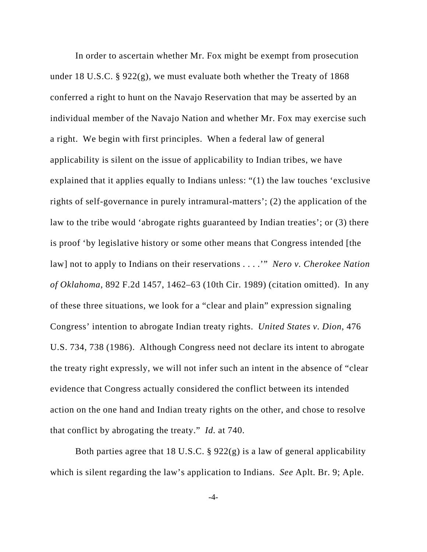In order to ascertain whether Mr. Fox might be exempt from prosecution under 18 U.S.C. § 922(g), we must evaluate both whether the Treaty of 1868 conferred a right to hunt on the Navajo Reservation that may be asserted by an individual member of the Navajo Nation and whether Mr. Fox may exercise such a right. We begin with first principles. When a federal law of general applicability is silent on the issue of applicability to Indian tribes, we have explained that it applies equally to Indians unless: "(1) the law touches 'exclusive rights of self-governance in purely intramural-matters'; (2) the application of the law to the tribe would 'abrogate rights guaranteed by Indian treaties'; or (3) there is proof 'by legislative history or some other means that Congress intended [the law] not to apply to Indians on their reservations . . . .'" *Nero v. Cherokee Nation of Oklahoma*, 892 F.2d 1457, 1462–63 (10th Cir. 1989) (citation omitted). In any of these three situations, we look for a "clear and plain" expression signaling Congress' intention to abrogate Indian treaty rights. *United States v. Dion*, 476 U.S. 734, 738 (1986). Although Congress need not declare its intent to abrogate the treaty right expressly, we will not infer such an intent in the absence of "clear evidence that Congress actually considered the conflict between its intended action on the one hand and Indian treaty rights on the other, and chose to resolve that conflict by abrogating the treaty." *Id.* at 740.

Both parties agree that 18 U.S.C. § 922(g) is a law of general applicability which is silent regarding the law's application to Indians. *See* Aplt. Br. 9; Aple.

-4-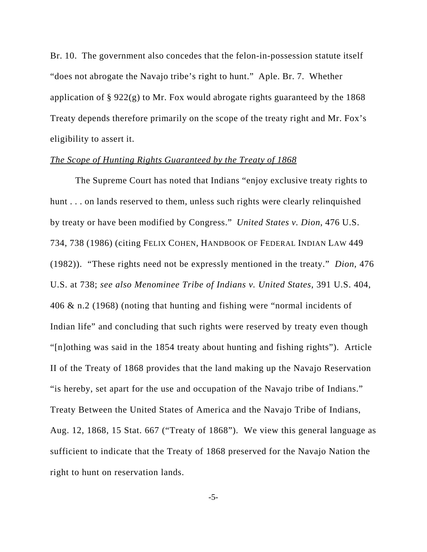Br. 10. The government also concedes that the felon-in-possession statute itself "does not abrogate the Navajo tribe's right to hunt." Aple. Br. 7. Whether application of § 922(g) to Mr. Fox would abrogate rights guaranteed by the 1868 Treaty depends therefore primarily on the scope of the treaty right and Mr. Fox's eligibility to assert it.

#### *The Scope of Hunting Rights Guaranteed by the Treaty of 1868*

The Supreme Court has noted that Indians "enjoy exclusive treaty rights to hunt . . . on lands reserved to them, unless such rights were clearly relinquished by treaty or have been modified by Congress." *United States v. Dion*, 476 U.S. 734, 738 (1986) (citing FELIX COHEN, HANDBOOK OF FEDERAL INDIAN LAW 449 (1982)). "These rights need not be expressly mentioned in the treaty." *Dion*, 476 U.S. at 738; *see also Menominee Tribe of Indians v. United States*, 391 U.S. 404, 406 & n.2 (1968) (noting that hunting and fishing were "normal incidents of Indian life" and concluding that such rights were reserved by treaty even though "[n]othing was said in the 1854 treaty about hunting and fishing rights"). Article II of the Treaty of 1868 provides that the land making up the Navajo Reservation "is hereby, set apart for the use and occupation of the Navajo tribe of Indians." Treaty Between the United States of America and the Navajo Tribe of Indians, Aug. 12, 1868, 15 Stat. 667 ("Treaty of 1868"). We view this general language as sufficient to indicate that the Treaty of 1868 preserved for the Navajo Nation the right to hunt on reservation lands.

-5-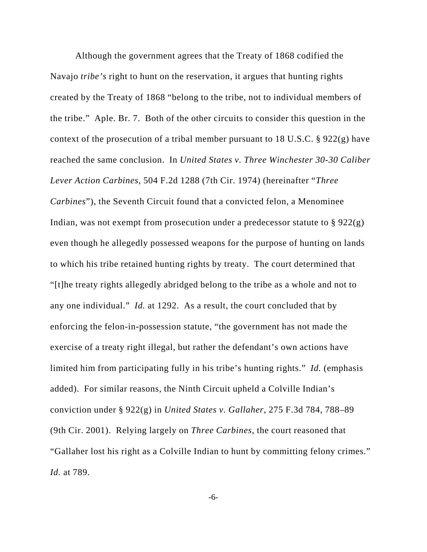Although the government agrees that the Treaty of 1868 codified the Navajo *tribe's* right to hunt on the reservation, it argues that hunting rights created by the Treaty of 1868 "belong to the tribe, not to individual members of the tribe." Aple. Br. 7. Both of the other circuits to consider this question in the context of the prosecution of a tribal member pursuant to 18 U.S.C. § 922(g) have reached the same conclusion. In *United States v. Three Winchester 30-30 Caliber Lever Action Carbines*, 504 F.2d 1288 (7th Cir. 1974) (hereinafter "*Three Carbines*"), the Seventh Circuit found that a convicted felon, a Menominee Indian, was not exempt from prosecution under a predecessor statute to § 922(g) even though he allegedly possessed weapons for the purpose of hunting on lands to which his tribe retained hunting rights by treaty. The court determined that "[t]he treaty rights allegedly abridged belong to the tribe as a whole and not to any one individual." *Id.* at 1292. As a result, the court concluded that by enforcing the felon-in-possession statute, "the government has not made the exercise of a treaty right illegal, but rather the defendant's own actions have limited him from participating fully in his tribe's hunting rights." *Id.* (emphasis added). For similar reasons, the Ninth Circuit upheld a Colville Indian's conviction under § 922(g) in *United States v. Gallaher*, 275 F.3d 784, 788–89 (9th Cir. 2001). Relying largely on *Three Carbines*, the court reasoned that "Gallaher lost his right as a Colville Indian to hunt by committing felony crimes." *Id.* at 789.

-6-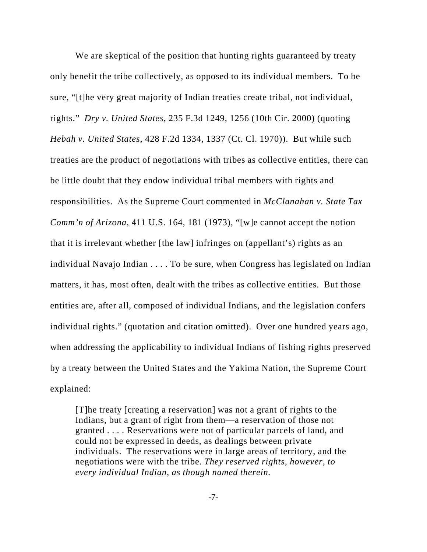We are skeptical of the position that hunting rights guaranteed by treaty only benefit the tribe collectively, as opposed to its individual members. To be sure, "[t]he very great majority of Indian treaties create tribal, not individual, rights." *Dry v. United States*, 235 F.3d 1249, 1256 (10th Cir. 2000) (quoting *Hebah v. United States*, 428 F.2d 1334, 1337 (Ct. Cl. 1970)). But while such treaties are the product of negotiations with tribes as collective entities, there can be little doubt that they endow individual tribal members with rights and responsibilities. As the Supreme Court commented in *McClanahan v. State Tax Comm'n of Arizona*, 411 U.S. 164, 181 (1973), "[w]e cannot accept the notion that it is irrelevant whether [the law] infringes on (appellant's) rights as an individual Navajo Indian . . . . To be sure, when Congress has legislated on Indian matters, it has, most often, dealt with the tribes as collective entities. But those entities are, after all, composed of individual Indians, and the legislation confers individual rights." (quotation and citation omitted). Over one hundred years ago, when addressing the applicability to individual Indians of fishing rights preserved by a treaty between the United States and the Yakima Nation, the Supreme Court explained:

[T]he treaty [creating a reservation] was not a grant of rights to the Indians, but a grant of right from them—a reservation of those not granted . . . . Reservations were not of particular parcels of land, and could not be expressed in deeds, as dealings between private individuals. The reservations were in large areas of territory, and the negotiations were with the tribe. *They reserved rights, however, to every individual Indian, as though named therein.* 

-7-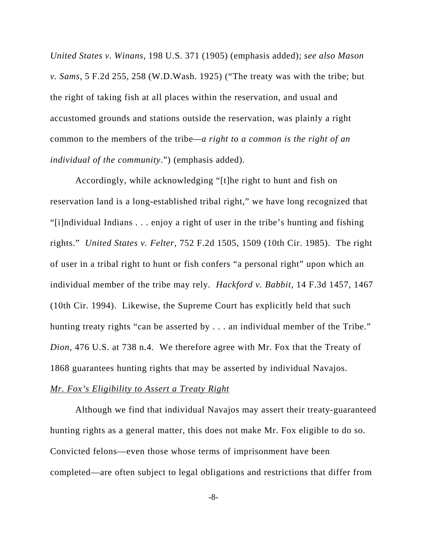*United States v. Winans*, 198 U.S. 371 (1905) (emphasis added); *see also Mason v. Sams*, 5 F.2d 255, 258 (W.D.Wash. 1925) ("The treaty was with the tribe; but the right of taking fish at all places within the reservation, and usual and accustomed grounds and stations outside the reservation, was plainly a right common to the members of the tribe*—a right to a common is the right of an individual of the community*.") (emphasis added).

Accordingly, while acknowledging "[t]he right to hunt and fish on reservation land is a long-established tribal right," we have long recognized that "[i]ndividual Indians . . . enjoy a right of user in the tribe's hunting and fishing rights." *United States v. Felter*, 752 F.2d 1505, 1509 (10th Cir. 1985). The right of user in a tribal right to hunt or fish confers "a personal right" upon which an individual member of the tribe may rely. *Hackford v. Babbit*, 14 F.3d 1457, 1467 (10th Cir. 1994). Likewise, the Supreme Court has explicitly held that such hunting treaty rights "can be asserted by . . . an individual member of the Tribe." *Dion*, 476 U.S. at 738 n.4. We therefore agree with Mr. Fox that the Treaty of 1868 guarantees hunting rights that may be asserted by individual Navajos.

#### *Mr. Fox's Eligibility to Assert a Treaty Right*

Although we find that individual Navajos may assert their treaty-guaranteed hunting rights as a general matter, this does not make Mr. Fox eligible to do so. Convicted felons—even those whose terms of imprisonment have been completed—are often subject to legal obligations and restrictions that differ from

-8-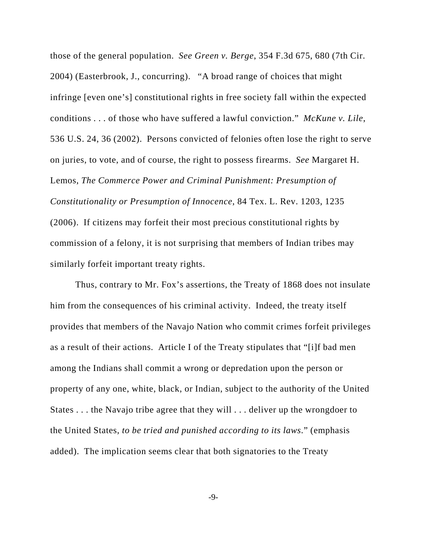those of the general population. *See Green v. Berge*, 354 F.3d 675, 680 (7th Cir. 2004) (Easterbrook, J., concurring). "A broad range of choices that might infringe [even one's] constitutional rights in free society fall within the expected conditions . . . of those who have suffered a lawful conviction." *McKune v. Lile*, 536 U.S. 24, 36 (2002). Persons convicted of felonies often lose the right to serve on juries, to vote, and of course, the right to possess firearms. *See* Margaret H. Lemos, *The Commerce Power and Criminal Punishment: Presumption of Constitutionality or Presumption of Innocence*, 84 Tex. L. Rev. 1203, 1235 (2006). If citizens may forfeit their most precious constitutional rights by commission of a felony, it is not surprising that members of Indian tribes may similarly forfeit important treaty rights.

Thus, contrary to Mr. Fox's assertions, the Treaty of 1868 does not insulate him from the consequences of his criminal activity. Indeed, the treaty itself provides that members of the Navajo Nation who commit crimes forfeit privileges as a result of their actions. Article I of the Treaty stipulates that "[i]f bad men among the Indians shall commit a wrong or depredation upon the person or property of any one, white, black, or Indian, subject to the authority of the United States . . . the Navajo tribe agree that they will . . . deliver up the wrongdoer to the United States, *to be tried and punished according to its laws*." (emphasis added). The implication seems clear that both signatories to the Treaty

-9-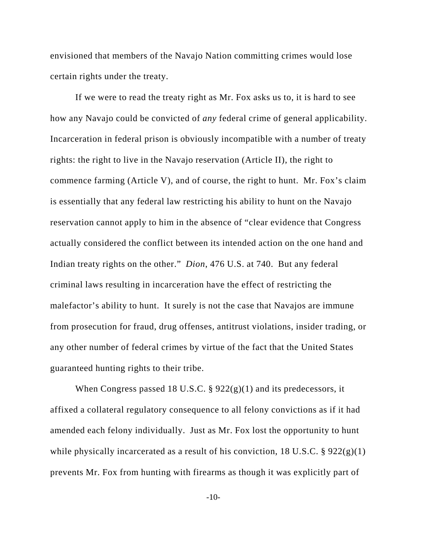envisioned that members of the Navajo Nation committing crimes would lose certain rights under the treaty.

If we were to read the treaty right as Mr. Fox asks us to, it is hard to see how any Navajo could be convicted of *any* federal crime of general applicability. Incarceration in federal prison is obviously incompatible with a number of treaty rights: the right to live in the Navajo reservation (Article II), the right to commence farming (Article V), and of course, the right to hunt. Mr. Fox's claim is essentially that any federal law restricting his ability to hunt on the Navajo reservation cannot apply to him in the absence of "clear evidence that Congress actually considered the conflict between its intended action on the one hand and Indian treaty rights on the other." *Dion*, 476 U.S. at 740. But any federal criminal laws resulting in incarceration have the effect of restricting the malefactor's ability to hunt. It surely is not the case that Navajos are immune from prosecution for fraud, drug offenses, antitrust violations, insider trading, or any other number of federal crimes by virtue of the fact that the United States guaranteed hunting rights to their tribe.

When Congress passed 18 U.S.C. § 922(g)(1) and its predecessors, it affixed a collateral regulatory consequence to all felony convictions as if it had amended each felony individually. Just as Mr. Fox lost the opportunity to hunt while physically incarcerated as a result of his conviction, 18 U.S.C.  $\S 922(g)(1)$ prevents Mr. Fox from hunting with firearms as though it was explicitly part of

-10-